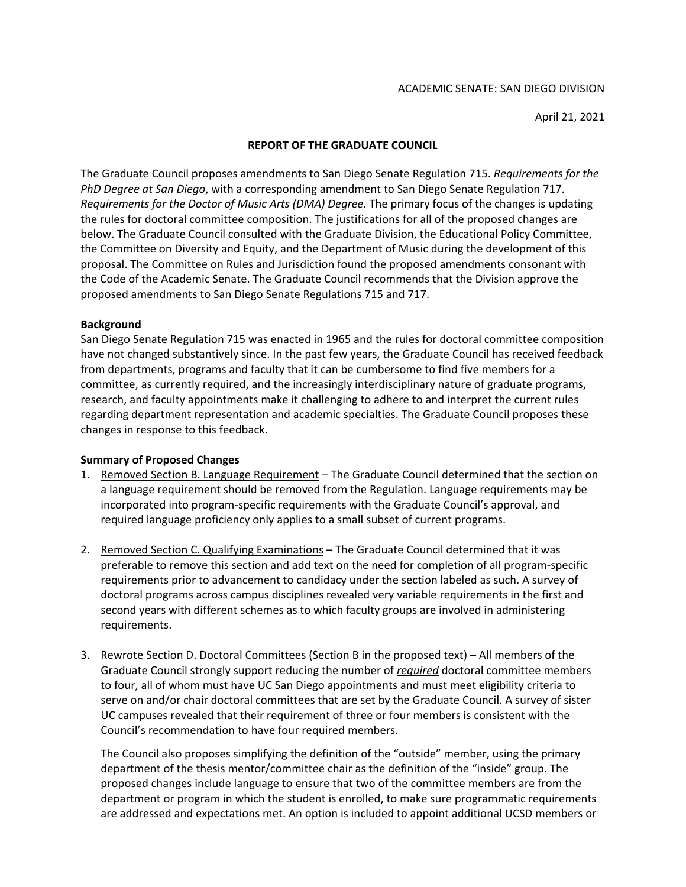April 21, 2021

## **REPORT OF THE GRADUATE COUNCIL**

The Graduate Council proposes amendments to San Diego Senate Regulation 715. *Requirements for the PhD Degree at San Diego*, with a corresponding amendment to San Diego Senate Regulation 717. *Requirements for the Doctor of Music Arts (DMA) Degree.* The primary focus of the changes is updating the rules for doctoral committee composition. The justifications for all of the proposed changes are below. The Graduate Council consulted with the Graduate Division, the Educational Policy Committee, the Committee on Diversity and Equity, and the Department of Music during the development of this proposal. The Committee on Rules and Jurisdiction found the proposed amendments consonant with the Code of the Academic Senate. The Graduate Council recommends that the Division approve the proposed amendments to San Diego Senate Regulations 715 and 717.

## **Background**

San Diego Senate Regulation 715 was enacted in 1965 and the rules for doctoral committee composition have not changed substantively since. In the past few years, the Graduate Council has received feedback from departments, programs and faculty that it can be cumbersome to find five members for a committee, as currently required, and the increasingly interdisciplinary nature of graduate programs, research, and faculty appointments make it challenging to adhere to and interpret the current rules regarding department representation and academic specialties. The Graduate Council proposes these changes in response to this feedback.

## **Summary of Proposed Changes**

- 1. Removed Section B. Language Requirement The Graduate Council determined that the section on a language requirement should be removed from the Regulation. Language requirements may be incorporated into program-specific requirements with the Graduate Council's approval, and required language proficiency only applies to a small subset of current programs.
- 2. Removed Section C. Qualifying Examinations The Graduate Council determined that it was preferable to remove this section and add text on the need for completion of all program-specific requirements prior to advancement to candidacy under the section labeled as such. A survey of doctoral programs across campus disciplines revealed very variable requirements in the first and second years with different schemes as to which faculty groups are involved in administering requirements.
- 3. Rewrote Section D. Doctoral Committees (Section B in the proposed text) All members of the Graduate Council strongly support reducing the number of *required* doctoral committee members to four, all of whom must have UC San Diego appointments and must meet eligibility criteria to serve on and/or chair doctoral committees that are set by the Graduate Council. A survey of sister UC campuses revealed that their requirement of three or four members is consistent with the Council's recommendation to have four required members.

The Council also proposes simplifying the definition of the "outside" member, using the primary department of the thesis mentor/committee chair as the definition of the "inside" group. The proposed changes include language to ensure that two of the committee members are from the department or program in which the student is enrolled, to make sure programmatic requirements are addressed and expectations met. An option is included to appoint additional UCSD members or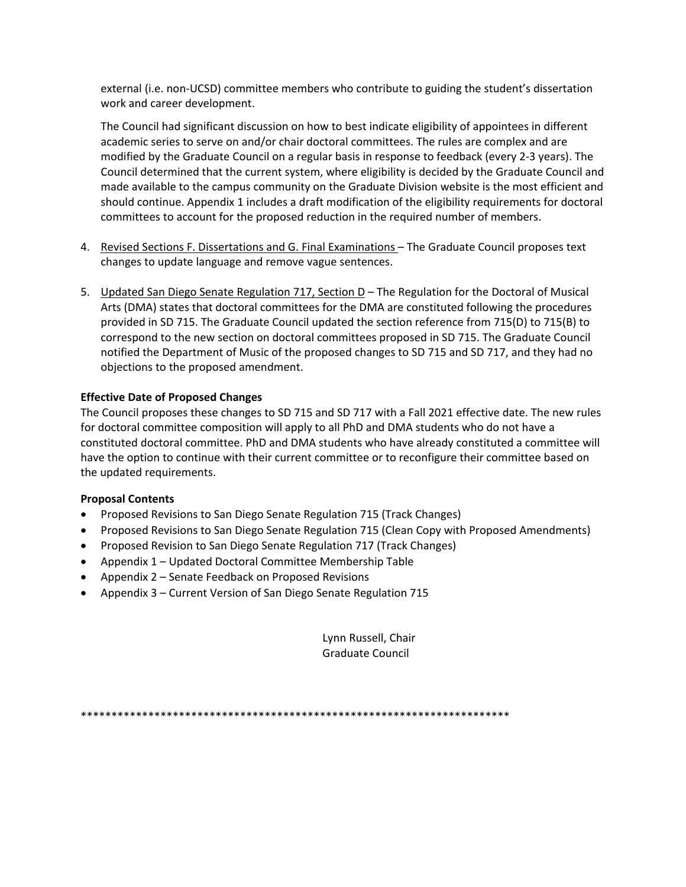external (i.e. non-UCSD) committee members who contribute to guiding the student's dissertation work and career development.

The Council had significant discussion on how to best indicate eligibility of appointees in different academic series to serve on and/or chair doctoral committees. The rules are complex and are modified by the Graduate Council on a regular basis in response to feedback (every 2-3 years). The Council determined that the current system, where eligibility is decided by the Graduate Council and made available to the campus community on the Graduate Division website is the most efficient and should continue. Appendix 1 includes a draft modification of the eligibility requirements for doctoral committees to account for the proposed reduction in the required number of members.

- 4. Revised Sections F. Dissertations and G. Final Examinations The Graduate Council proposes text changes to update language and remove vague sentences.
- 5. Updated San Diego Senate Regulation 717, Section D The Regulation for the Doctoral of Musical Arts (DMA) states that doctoral committees for the DMA are constituted following the procedures provided in SD 715. The Graduate Council updated the section reference from 715(D) to 715(B) to correspond to the new section on doctoral committees proposed in SD 715. The Graduate Council notified the Department of Music of the proposed changes to SD 715 and SD 717, and they had no objections to the proposed amendment.

## **Effective Date of Proposed Changes**

The Council proposes these changes to SD 715 and SD 717 with a Fall 2021 effective date. The new rules for doctoral committee composition will apply to all PhD and DMA students who do not have a constituted doctoral committee. PhD and DMA students who have already constituted a committee will have the option to continue with their current committee or to reconfigure their committee based on the updated requirements.

## **Proposal Contents**

- Proposed Revisions to San Diego Senate Regulation 715 (Track Changes)
- Proposed Revisions to San Diego Senate Regulation 715 (Clean Copy with Proposed Amendments)
- Proposed Revision to San Diego Senate Regulation 717 (Track Changes)
- Appendix 1 Updated Doctoral Committee Membership Table
- Appendix 2 Senate Feedback on Proposed Revisions
- Appendix 3 Current Version of San Diego Senate Regulation 715

Lynn Russell, Chair Graduate Council

\*\*\*\*\*\*\*\*\*\*\*\*\*\*\*\*\*\*\*\*\*\*\*\*\*\*\*\*\*\*\*\*\*\*\*\*\*\*\*\*\*\*\*\*\*\*\*\*\*\*\*\*\*\*\*\*\*\*\*\*\*\*\*\*\*\*\*\*\*\*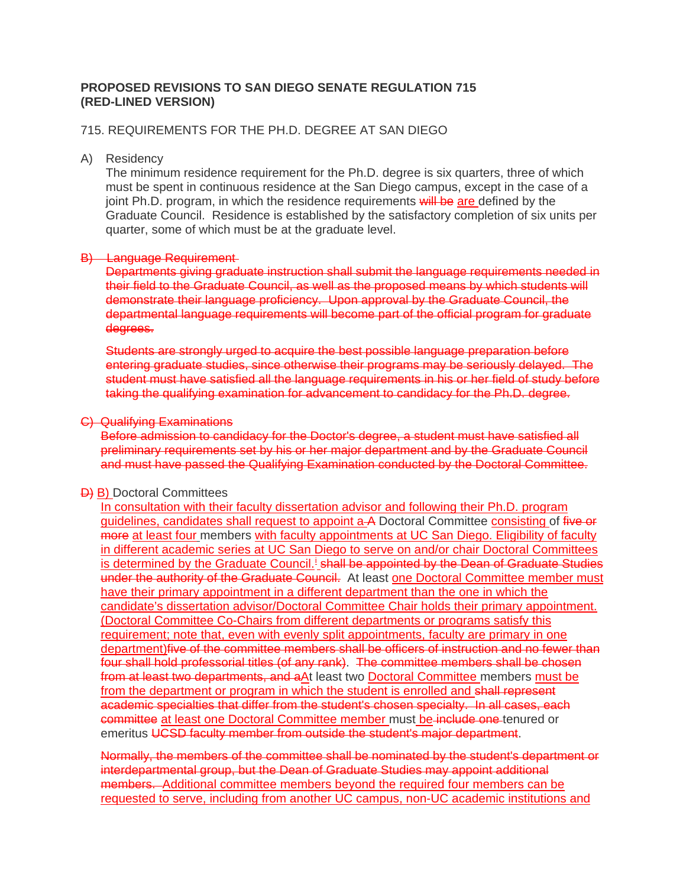# **PROPOSED REVISIONS TO SAN DIEGO SENATE REGULATION 715 (RED-LINED VERSION)**

## 715. REQUIREMENTS FOR THE PH.D. DEGREE AT SAN DIEGO

### A) Residency

The minimum residence requirement for the Ph.D. degree is six quarters, three of which must be spent in continuous residence at the San Diego campus, except in the case of a joint Ph.D. program, in which the residence requirements will be are defined by the Graduate Council. Residence is established by the satisfactory completion of six units per quarter, some of which must be at the graduate level.

### B) Language Requirement

Departments giving graduate instruction shall submit the language requirements needed in their field to the Graduate Council, as well as the proposed means by which students will demonstrate their language proficiency. Upon approval by the Graduate Council, the departmental language requirements will become part of the official program for graduate degrees.

Students are strongly urged to acquire the best possible language preparation before entering graduate studies, since otherwise their programs may be seriously delayed. The student must have satisfied all the language requirements in his or her field of study before taking the qualifying examination for advancement to candidacy for the Ph.D. degree.

### C) Qualifying Examinations

Before admission to candidacy for the Doctor's degree, a student must have satisfied all preliminary requirements set by his or her major department and by the Graduate Council and must have passed the Qualifying Examination conducted by the Doctoral Committee.

## **D)** B) Doctoral Committees

In consultation with their faculty dissertation advisor and following their Ph.D. program guidelines, candidates shall request to appoint a A Doctoral Committee consisting of five or more at least four members with faculty appointments at UC San Diego. Eligibility of faculty in different academic series at UC San Diego to serve on and/or chair Doctoral Committees [i](#page-4-0)s determined by the Graduate Council.<sup>1</sup> shall be appointed by the Dean of Graduate Studies under the authority of the Graduate Council. At least one Doctoral Committee member must have their primary appointment in a different department than the one in which the candidate's dissertation advisor/Doctoral Committee Chair holds their primary appointment. (Doctoral Committee Co-Chairs from different departments or programs satisfy this requirement; note that, even with evenly split appointments, faculty are primary in one department)five of the committee members shall be officers of instruction and no fewer than four shall hold professorial titles (of any rank). The committee members shall be chosen from at least two departments, and aAt least two Doctoral Committee members must be from the department or program in which the student is enrolled and shall represent academic specialties that differ from the student's chosen specialty. In all cases, each committee at least one Doctoral Committee member must be include one tenured or emeritus UCSD faculty member from outside the student's major department.

Normally, the members of the committee shall be nominated by the student's department or interdepartmental group, but the Dean of Graduate Studies may appoint additional members. Additional committee members beyond the required four members can be requested to serve, including from another UC campus, non-UC academic institutions and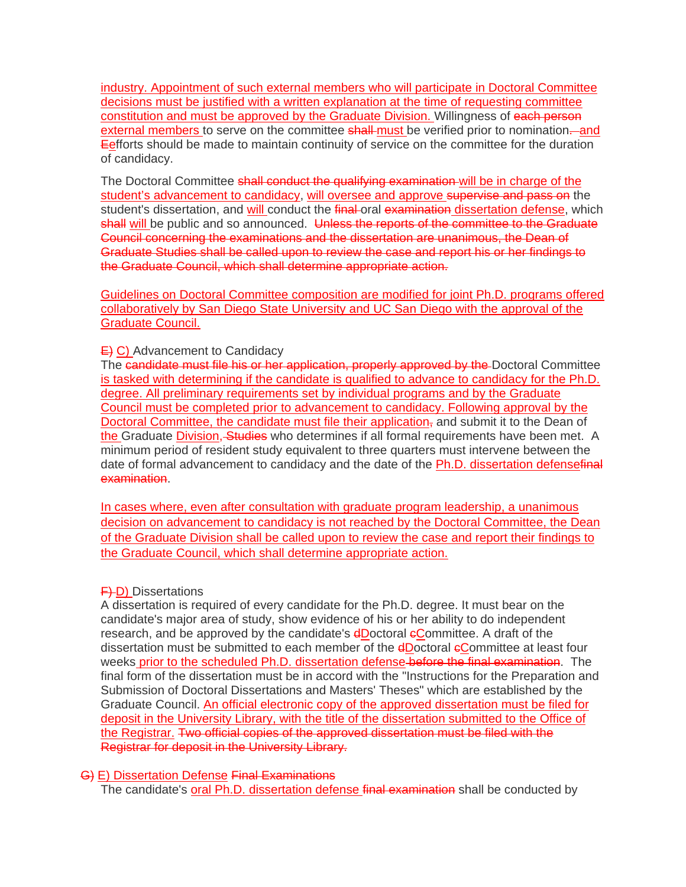industry. Appointment of such external members who will participate in Doctoral Committee decisions must be justified with a written explanation at the time of requesting committee constitution and must be approved by the Graduate Division. Willingness of each person external members to serve on the committee shall-must be verified prior to nomination—and **Eefforts should be made to maintain continuity of service on the committee for the duration** of candidacy.

The Doctoral Committee shall conduct the qualifying examination will be in charge of the student's advancement to candidacy, will oversee and approve supervise and pass on the student's dissertation, and will conduct the final-oral examination dissertation defense, which shall will be public and so announced. Unless the reports of the committee to the Graduate Council concerning the examinations and the dissertation are unanimous, the Dean of Graduate Studies shall be called upon to review the case and report his or her findings to the Graduate Council, which shall determine appropriate action.

Guidelines on Doctoral Committee composition are modified for joint Ph.D. programs offered collaboratively by San Diego State University and UC San Diego with the approval of the Graduate Council.

## $E$ ) Advancement to Candidacy

The candidate must file his or her application, properly approved by the Doctoral Committee is tasked with determining if the candidate is qualified to advance to candidacy for the Ph.D. degree. All preliminary requirements set by individual programs and by the Graduate Council must be completed prior to advancement to candidacy. Following approval by the Doctoral Committee, the candidate must file their application, and submit it to the Dean of the Graduate Division, Studies who determines if all formal requirements have been met. A minimum period of resident study equivalent to three quarters must intervene between the date of formal advancement to candidacy and the date of the Ph.D. dissertation defensefinal examination.

In cases where, even after consultation with graduate program leadership, a unanimous decision on advancement to candidacy is not reached by the Doctoral Committee, the Dean of the Graduate Division shall be called upon to review the case and report their findings to the Graduate Council, which shall determine appropriate action.

## **F**) Dissertations

A dissertation is required of every candidate for the Ph.D. degree. It must bear on the candidate's major area of study, show evidence of his or her ability to do independent research, and be approved by the candidate's **dDoctoral eCommittee.** A draft of the dissertation must be submitted to each member of the **dDoctoral eCommittee at least four** weeks prior to the scheduled Ph.D. dissertation defense before the final examination. The final form of the dissertation must be in accord with the "Instructions for the Preparation and Submission of Doctoral Dissertations and Masters' Theses" which are established by the Graduate Council. An official electronic copy of the approved dissertation must be filed for deposit in the University Library, with the title of the dissertation submitted to the Office of the Registrar. Two official copies of the approved dissertation must be filed with the Registrar for deposit in the University Library.

## G) E) Dissertation Defense Final Examinations

The candidate's oral Ph.D. dissertation defense final examination shall be conducted by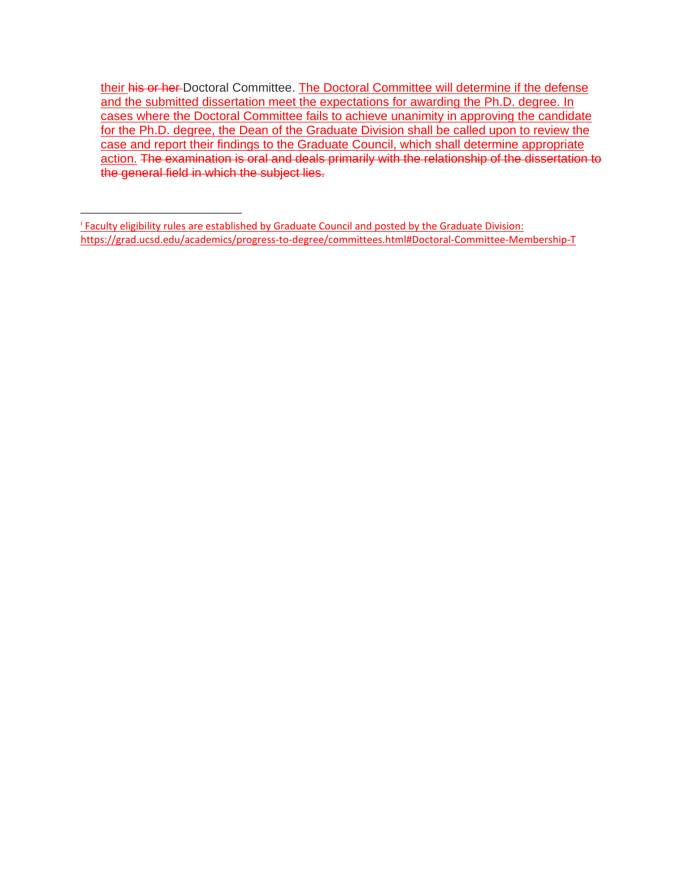their his or her Doctoral Committee. The Doctoral Committee will determine if the defense and the submitted dissertation meet the expectations for awarding the Ph.D. degree. In cases where the Doctoral Committee fails to achieve unanimity in approving the candidate for the Ph.D. degree, the Dean of the Graduate Division shall be called upon to review the case and report their findings to the Graduate Council, which shall determine appropriate action. The examination is oral and deals primarily with the relationship of the dissertation to the general field in which the subject lies.

<span id="page-4-0"></span><sup>i</sup> Faculty eligibility rules are established by Graduate Council and posted by the Graduate Division: https://grad.ucsd.edu/academics/progress-to-degree/committees.html#Doctoral-Committee-Membership-T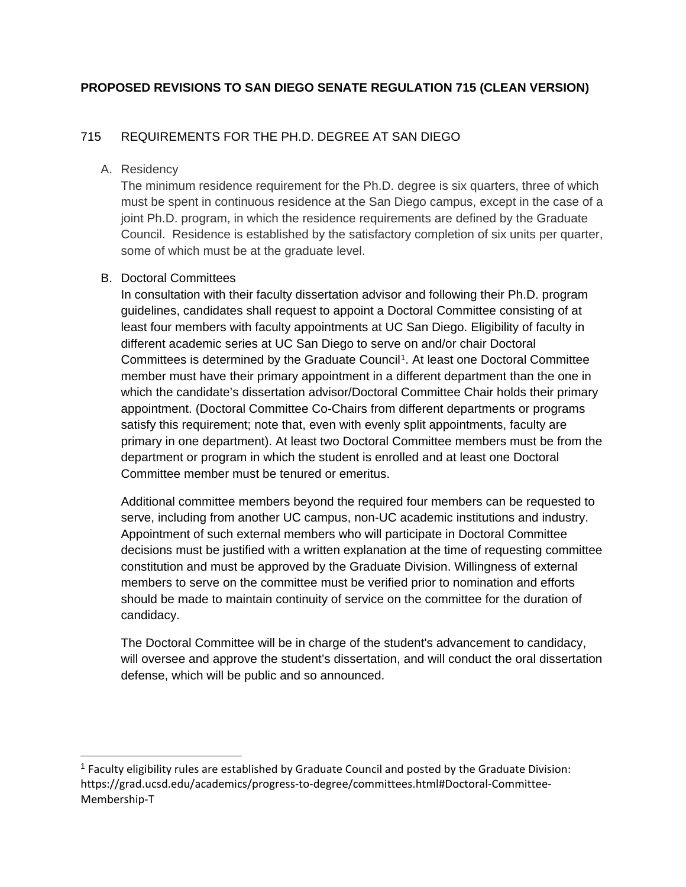# **PROPOSED REVISIONS TO SAN DIEGO SENATE REGULATION 715 (CLEAN VERSION)**

# 715 REQUIREMENTS FOR THE PH.D. DEGREE AT SAN DIEGO

# A. Residency

The minimum residence requirement for the Ph.D. degree is six quarters, three of which must be spent in continuous residence at the San Diego campus, except in the case of a joint Ph.D. program, in which the residence requirements are defined by the Graduate Council. Residence is established by the satisfactory completion of six units per quarter, some of which must be at the graduate level.

# B. Doctoral Committees

In consultation with their faculty dissertation advisor and following their Ph.D. program guidelines, candidates shall request to appoint a Doctoral Committee consisting of at least four members with faculty appointments at UC San Diego. Eligibility of faculty in different academic series at UC San Diego to serve on and/or chair Doctoral Committees is determined by the Graduate Council[1.](#page-5-0) At least one Doctoral Committee member must have their primary appointment in a different department than the one in which the candidate's dissertation advisor/Doctoral Committee Chair holds their primary appointment. (Doctoral Committee Co-Chairs from different departments or programs satisfy this requirement; note that, even with evenly split appointments, faculty are primary in one department). At least two Doctoral Committee members must be from the department or program in which the student is enrolled and at least one Doctoral Committee member must be tenured or emeritus.

Additional committee members beyond the required four members can be requested to serve, including from another UC campus, non-UC academic institutions and industry. Appointment of such external members who will participate in Doctoral Committee decisions must be justified with a written explanation at the time of requesting committee constitution and must be approved by the Graduate Division. Willingness of external members to serve on the committee must be verified prior to nomination and efforts should be made to maintain continuity of service on the committee for the duration of candidacy.

The Doctoral Committee will be in charge of the student's advancement to candidacy, will oversee and approve the student's dissertation, and will conduct the oral dissertation defense, which will be public and so announced.

<span id="page-5-0"></span> $<sup>1</sup>$  Faculty eligibility rules are established by Graduate Council and posted by the Graduate Division:</sup> https://grad.ucsd.edu/academics/progress-to-degree/committees.html#Doctoral-Committee-Membership-T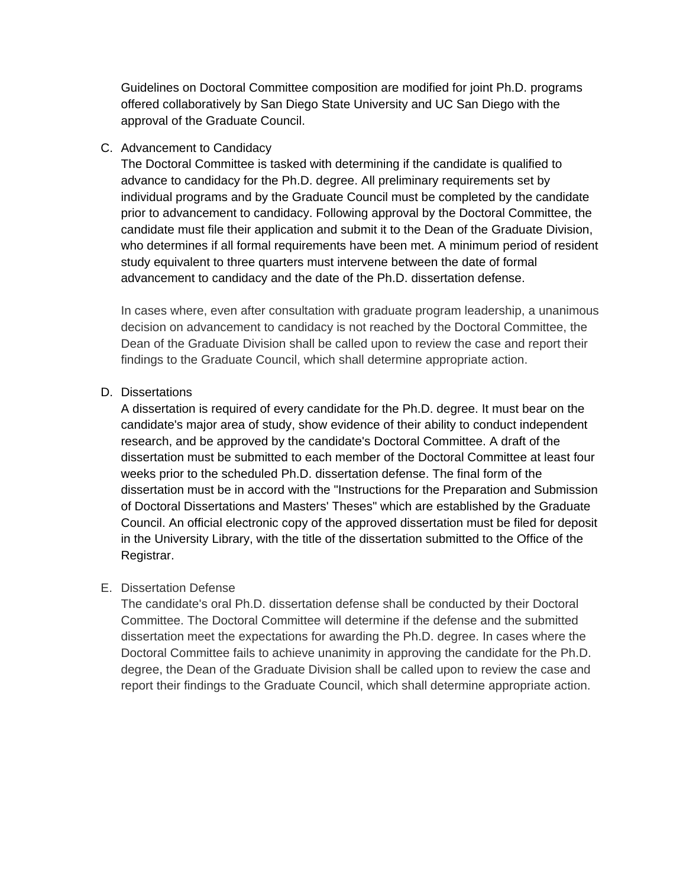Guidelines on Doctoral Committee composition are modified for joint Ph.D. programs offered collaboratively by San Diego State University and UC San Diego with the approval of the Graduate Council.

# C. Advancement to Candidacy

The Doctoral Committee is tasked with determining if the candidate is qualified to advance to candidacy for the Ph.D. degree. All preliminary requirements set by individual programs and by the Graduate Council must be completed by the candidate prior to advancement to candidacy. Following approval by the Doctoral Committee, the candidate must file their application and submit it to the Dean of the Graduate Division, who determines if all formal requirements have been met. A minimum period of resident study equivalent to three quarters must intervene between the date of formal advancement to candidacy and the date of the Ph.D. dissertation defense.

In cases where, even after consultation with graduate program leadership, a unanimous decision on advancement to candidacy is not reached by the Doctoral Committee, the Dean of the Graduate Division shall be called upon to review the case and report their findings to the Graduate Council, which shall determine appropriate action.

# D. Dissertations

A dissertation is required of every candidate for the Ph.D. degree. It must bear on the candidate's major area of study, show evidence of their ability to conduct independent research, and be approved by the candidate's Doctoral Committee. A draft of the dissertation must be submitted to each member of the Doctoral Committee at least four weeks prior to the scheduled Ph.D. dissertation defense. The final form of the dissertation must be in accord with the "Instructions for the Preparation and Submission of Doctoral Dissertations and Masters' Theses" which are established by the Graduate Council. An official electronic copy of the approved dissertation must be filed for deposit in the University Library, with the title of the dissertation submitted to the Office of the Registrar.

# E. Dissertation Defense

The candidate's oral Ph.D. dissertation defense shall be conducted by their Doctoral Committee. The Doctoral Committee will determine if the defense and the submitted dissertation meet the expectations for awarding the Ph.D. degree. In cases where the Doctoral Committee fails to achieve unanimity in approving the candidate for the Ph.D. degree, the Dean of the Graduate Division shall be called upon to review the case and report their findings to the Graduate Council, which shall determine appropriate action.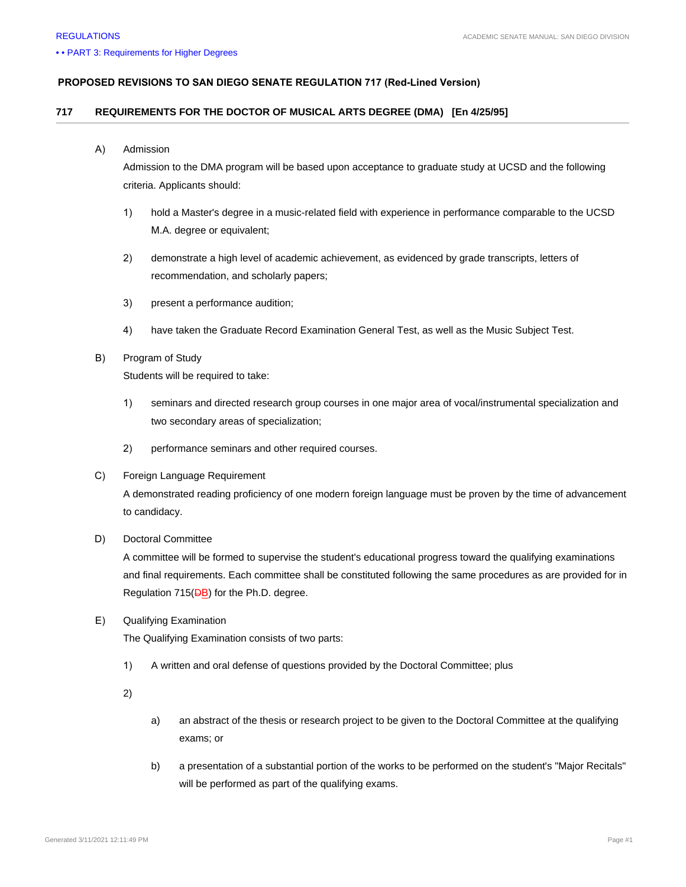#### **PROPOSED REVISIONS TO SAN DIEGO SENATE REGULATION 717 (Red-Lined Version)**

### **717 REQUIREMENTS FOR THE DOCTOR OF MUSICAL ARTS DEGREE (DMA) [En 4/25/95]**

#### A) Admission

Admission to the DMA program will be based upon acceptance to graduate study at UCSD and the following criteria. Applicants should:

- 1) hold a Master's degree in a music-related field with experience in performance comparable to the UCSD M.A. degree or equivalent;
- 2) demonstrate a high level of academic achievement, as evidenced by grade transcripts, letters of recommendation, and scholarly papers;
- 3) present a performance audition;
- 4) have taken the Graduate Record Examination General Test, as well as the Music Subject Test.
- B) Program of Study

Students will be required to take:

- 1) seminars and directed research group courses in one major area of vocal/instrumental specialization and two secondary areas of specialization;
- 2) performance seminars and other required courses.
- C) Foreign Language Requirement

A demonstrated reading proficiency of one modern foreign language must be proven by the time of advancement to candidacy.

D) Doctoral Committee

A committee will be formed to supervise the student's educational progress toward the qualifying examinations and final requirements. Each committee shall be constituted following the same procedures as are provided for in Regulation 715(DB) for the Ph.D. degree.

E) Qualifying Examination

The Qualifying Examination consists of two parts:

1) A written and oral defense of questions provided by the Doctoral Committee; plus

2)

- a) an abstract of the thesis or research project to be given to the Doctoral Committee at the qualifying exams; or
- b) a presentation of a substantial portion of the works to be performed on the student's "Major Recitals" will be performed as part of the qualifying exams.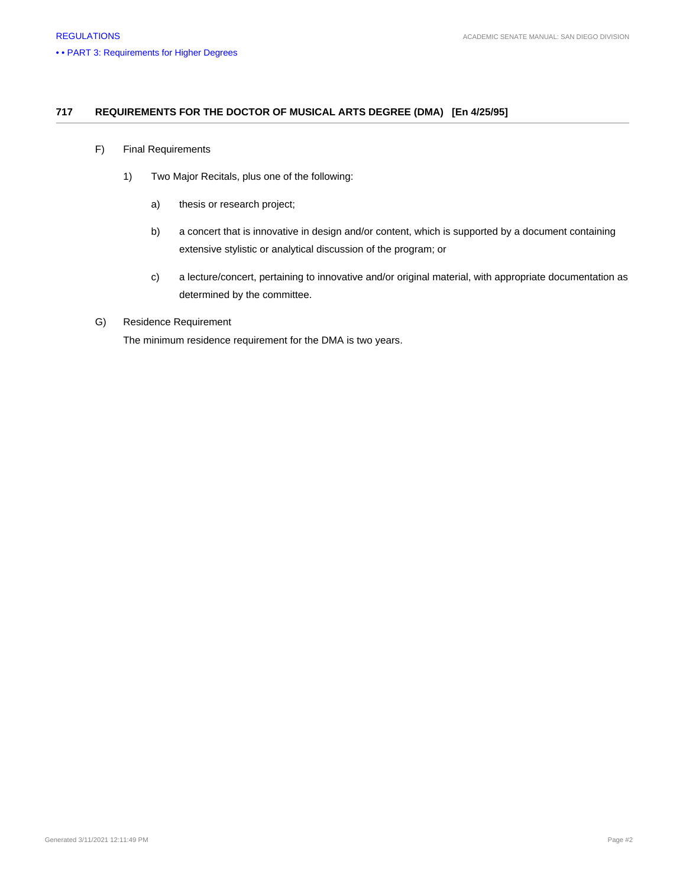### **717 REQUIREMENTS FOR THE DOCTOR OF MUSICAL ARTS DEGREE (DMA) [En 4/25/95]**

- F) Final Requirements
	- 1) Two Major Recitals, plus one of the following:
		- a) thesis or research project;
		- b) a concert that is innovative in design and/or content, which is supported by a document containing extensive stylistic or analytical discussion of the program; or
		- c) a lecture/concert, pertaining to innovative and/or original material, with appropriate documentation as determined by the committee.

### G) Residence Requirement

The minimum residence requirement for the DMA is two years.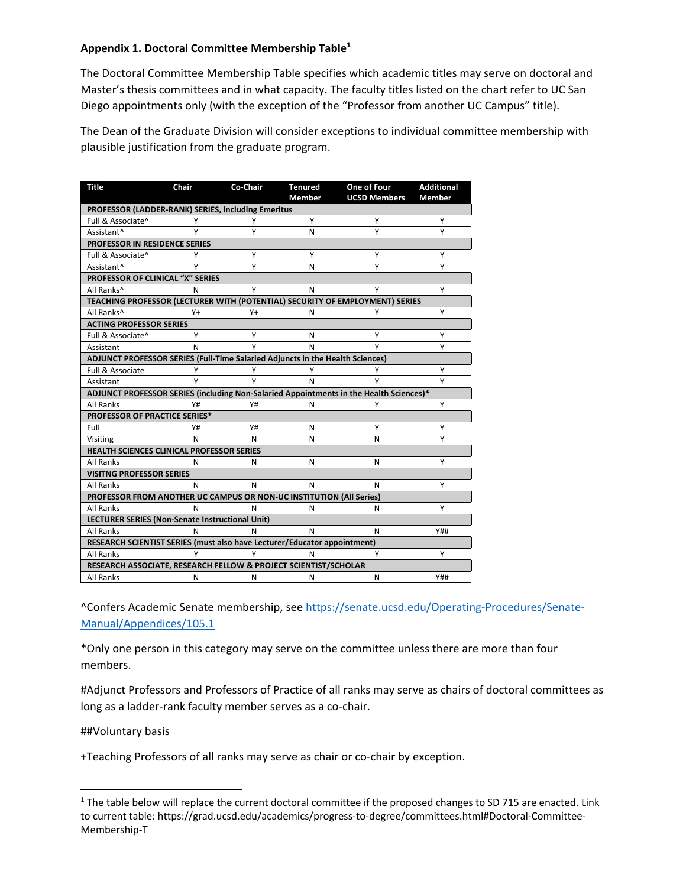## **Appendix 1. Doctoral Committee Memb[e](#page-9-0)rship Table<sup>1</sup>**

The Doctoral Committee Membership Table specifies which academic titles may serve on doctoral and Master's thesis committees and in what capacity. The faculty titles listed on the chart refer to UC San Diego appointments only (with the exception of the "Professor from another UC Campus" title).

The Dean of the Graduate Division will consider exceptions to individual committee membership with plausible justification from the graduate program.

| <b>Title</b>                                                                           | Chair | Co-Chair | <b>Tenured</b> | One of Four         | <b>Additional</b> |
|----------------------------------------------------------------------------------------|-------|----------|----------------|---------------------|-------------------|
|                                                                                        |       |          | <b>Member</b>  | <b>UCSD Members</b> | <b>Member</b>     |
| PROFESSOR (LADDER-RANK) SERIES, including Emeritus                                     |       |          |                |                     |                   |
| Full & Associate^                                                                      | Υ     | Y        | Υ              | Y                   | Υ                 |
| Assistant^                                                                             | Υ     | Υ        | N              | Υ                   | Υ                 |
| PROFESSOR IN RESIDENCE SERIES                                                          |       |          |                |                     |                   |
| Full & Associate^                                                                      | Υ     | Υ        | Υ              | Y                   | Υ                 |
| Assistant^                                                                             | Υ     | Υ        | N              | Υ                   | Υ                 |
| PROFESSOR OF CLINICAL "X" SERIES                                                       |       |          |                |                     |                   |
| All Ranks <sup>^</sup>                                                                 | N     | Υ        | N              | Υ                   | Υ                 |
| TEACHING PROFESSOR (LECTURER WITH (POTENTIAL) SECURITY OF EMPLOYMENT) SERIES           |       |          |                |                     |                   |
| All Ranks <sup>^</sup>                                                                 | Y+    | Y+       | N              | Υ                   | Y                 |
| <b>ACTING PROFESSOR SERIES</b>                                                         |       |          |                |                     |                   |
| Full & Associate^                                                                      | Y     | Υ        | N              | Y                   | Υ                 |
| Assistant                                                                              | N     | Υ        | N              | Υ                   | Y                 |
| ADJUNCT PROFESSOR SERIES (Full-Time Salaried Adjuncts in the Health Sciences)          |       |          |                |                     |                   |
| Full & Associate                                                                       | Υ     | Υ        | Υ              | Υ                   | Υ                 |
| Assistant                                                                              | Y     | Υ        | N              | Y                   | Υ                 |
| ADJUNCT PROFESSOR SERIES (including Non-Salaried Appointments in the Health Sciences)* |       |          |                |                     |                   |
| <b>All Ranks</b>                                                                       | Y#    | Y#       | N              | Υ                   | Y                 |
| PROFESSOR OF PRACTICE SERIES*                                                          |       |          |                |                     |                   |
| Full                                                                                   | Y#    | Y#       | N              | Y                   | Υ                 |
| Visiting                                                                               | N     | N        | N              | N                   | Y                 |
| HEALTH SCIENCES CLINICAL PROFESSOR SERIES                                              |       |          |                |                     |                   |
| <b>All Ranks</b>                                                                       | N     | N        | N              | N                   | Υ                 |
| <b>VISITNG PROFESSOR SERIES</b>                                                        |       |          |                |                     |                   |
| <b>All Ranks</b>                                                                       | N     | N        | N              | N                   | Y                 |
| PROFESSOR FROM ANOTHER UC CAMPUS OR NON-UC INSTITUTION (All Series)                    |       |          |                |                     |                   |
| All Ranks                                                                              | N     | N        | N              | N                   | Υ                 |
| LECTURER SERIES (Non-Senate Instructional Unit)                                        |       |          |                |                     |                   |
| <b>All Ranks</b>                                                                       | N     | N        | N              | N                   | <b>Y##</b>        |
| RESEARCH SCIENTIST SERIES (must also have Lecturer/Educator appointment)               |       |          |                |                     |                   |
| <b>All Ranks</b>                                                                       | Υ     | Υ        | N              | Υ                   | Y                 |
| RESEARCH ASSOCIATE, RESEARCH FELLOW & PROJECT SCIENTIST/SCHOLAR                        |       |          |                |                     |                   |
| <b>All Ranks</b>                                                                       | N     | N        | N              | N                   | <b>Y##</b>        |

^Confers Academic Senate membership, see [https://senate.ucsd.edu/Operating-Procedures/Senate-](https://senate.ucsd.edu/Operating-Procedures/Senate-Manual/Appendices/105.1)[Manual/Appendices/105.1](https://senate.ucsd.edu/Operating-Procedures/Senate-Manual/Appendices/105.1) 

\*Only one person in this category may serve on the committee unless there are more than four members.

#Adjunct Professors and Professors of Practice of all ranks may serve as chairs of doctoral committees as long as a ladder-rank faculty member serves as a co-chair.

##Voluntary basis

+Teaching Professors of all ranks may serve as chair or co-chair by exception.

<span id="page-9-0"></span> $1$  The table below will replace the current doctoral committee if the proposed changes to SD 715 are enacted. Link to current table: https://grad.ucsd.edu/academics/progress-to-degree/committees.html#Doctoral-Committee-Membership-T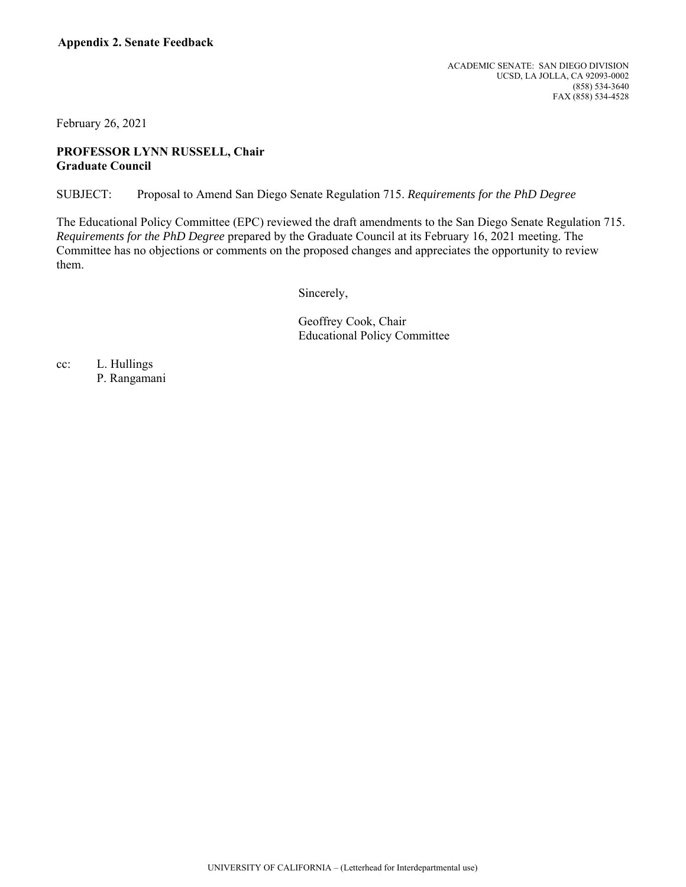February 26, 2021

## **PROFESSOR LYNN RUSSELL, Chair Graduate Council**

SUBJECT: Proposal to Amend San Diego Senate Regulation 715. *Requirements for the PhD Degree* 

The Educational Policy Committee (EPC) reviewed the draft amendments to the San Diego Senate Regulation 715. *Requirements for the PhD Degree* prepared by the Graduate Council at its February 16, 2021 meeting. The Committee has no objections or comments on the proposed changes and appreciates the opportunity to review them.

Sincerely,

Geoffrey Cook, Chair Educational Policy Committee

cc: L. Hullings

P. Rangamani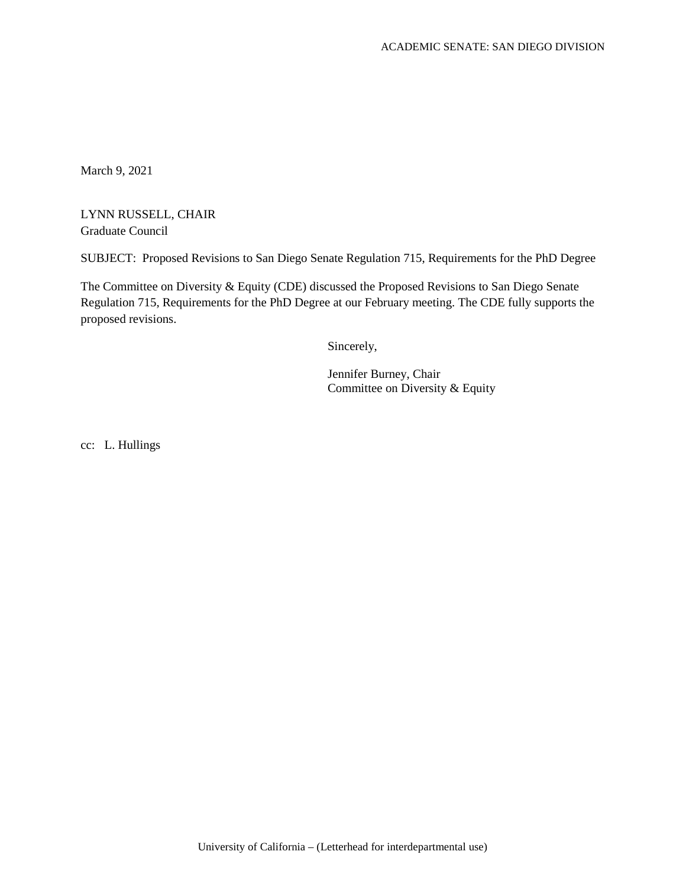March 9, 2021

LYNN RUSSELL, CHAIR Graduate Council

SUBJECT: Proposed Revisions to San Diego Senate Regulation 715, Requirements for the PhD Degree

The Committee on Diversity & Equity (CDE) discussed the Proposed Revisions to San Diego Senate Regulation 715, Requirements for the PhD Degree at our February meeting. The CDE fully supports the proposed revisions.

Sincerely,

Jennifer Burney, Chair Committee on Diversity & Equity

cc: L. Hullings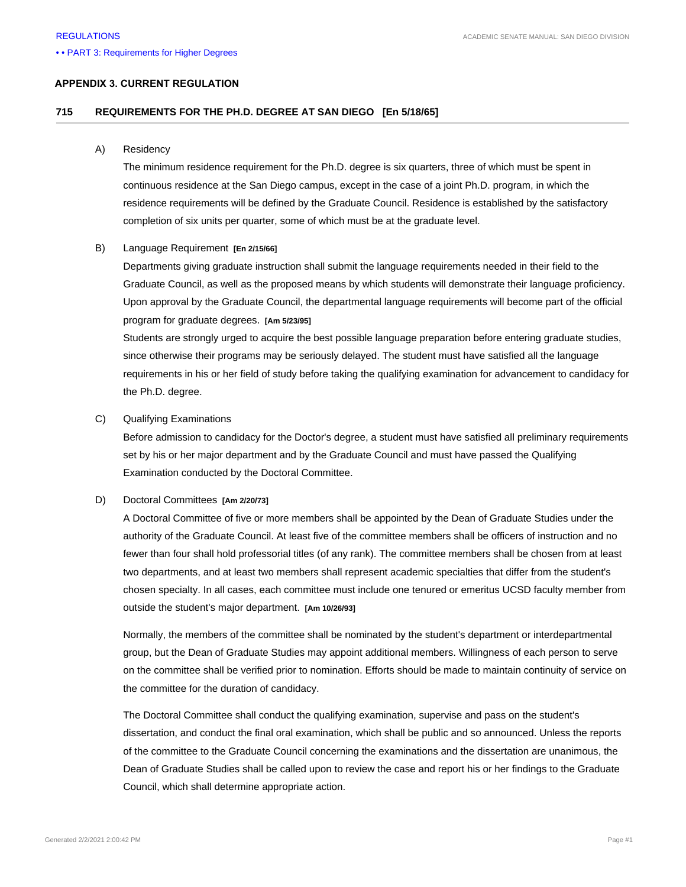#### • • PART 3: Requirements for Higher Degrees

### **APPENDIX 3. CURRENT REGULATION**

### **715 REQUIREMENTS FOR THE PH.D. DEGREE AT SAN DIEGO [En 5/18/65]**

#### A) Residency

The minimum residence requirement for the Ph.D. degree is six quarters, three of which must be spent in continuous residence at the San Diego campus, except in the case of a joint Ph.D. program, in which the residence requirements will be defined by the Graduate Council. Residence is established by the satisfactory completion of six units per quarter, some of which must be at the graduate level.

#### B) Language Requirement **[En 2/15/66]**

Departments giving graduate instruction shall submit the language requirements needed in their field to the Graduate Council, as well as the proposed means by which students will demonstrate their language proficiency. Upon approval by the Graduate Council, the departmental language requirements will become part of the official program for graduate degrees. **[Am 5/23/95]**

Students are strongly urged to acquire the best possible language preparation before entering graduate studies, since otherwise their programs may be seriously delayed. The student must have satisfied all the language requirements in his or her field of study before taking the qualifying examination for advancement to candidacy for the Ph.D. degree.

#### C) Qualifying Examinations

Before admission to candidacy for the Doctor's degree, a student must have satisfied all preliminary requirements set by his or her major department and by the Graduate Council and must have passed the Qualifying Examination conducted by the Doctoral Committee.

#### D) Doctoral Committees **[Am 2/20/73]**

A Doctoral Committee of five or more members shall be appointed by the Dean of Graduate Studies under the authority of the Graduate Council. At least five of the committee members shall be officers of instruction and no fewer than four shall hold professorial titles (of any rank). The committee members shall be chosen from at least two departments, and at least two members shall represent academic specialties that differ from the student's chosen specialty. In all cases, each committee must include one tenured or emeritus UCSD faculty member from outside the student's major department. **[Am 10/26/93]**

Normally, the members of the committee shall be nominated by the student's department or interdepartmental group, but the Dean of Graduate Studies may appoint additional members. Willingness of each person to serve on the committee shall be verified prior to nomination. Efforts should be made to maintain continuity of service on the committee for the duration of candidacy.

The Doctoral Committee shall conduct the qualifying examination, supervise and pass on the student's dissertation, and conduct the final oral examination, which shall be public and so announced. Unless the reports of the committee to the Graduate Council concerning the examinations and the dissertation are unanimous, the Dean of Graduate Studies shall be called upon to review the case and report his or her findings to the Graduate Council, which shall determine appropriate action.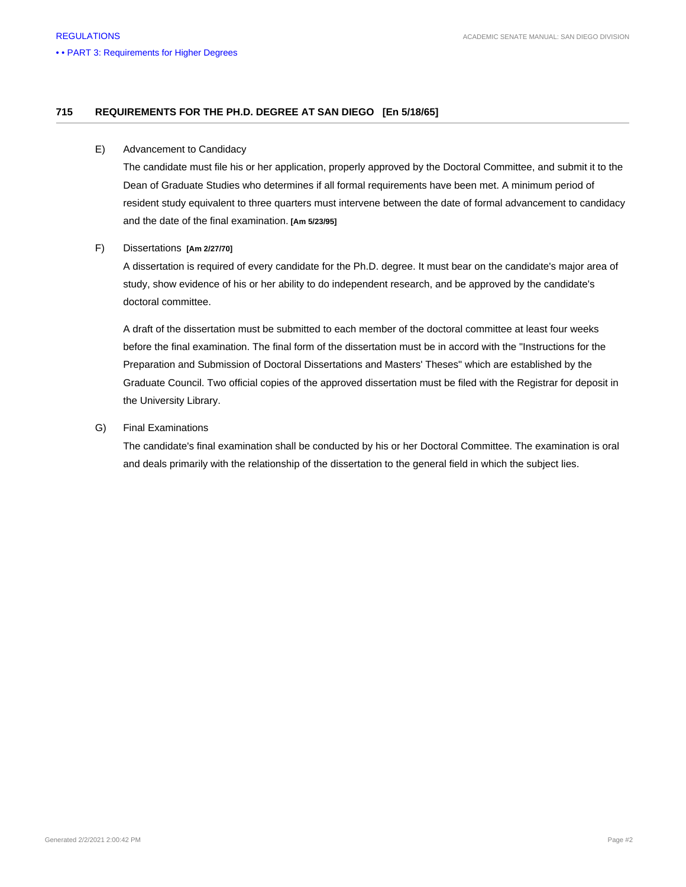### **715 REQUIREMENTS FOR THE PH.D. DEGREE AT SAN DIEGO [En 5/18/65]**

#### E) Advancement to Candidacy

The candidate must file his or her application, properly approved by the Doctoral Committee, and submit it to the Dean of Graduate Studies who determines if all formal requirements have been met. A minimum period of resident study equivalent to three quarters must intervene between the date of formal advancement to candidacy and the date of the final examination. **[Am 5/23/95]**

#### F) Dissertations **[Am 2/27/70]**

A dissertation is required of every candidate for the Ph.D. degree. It must bear on the candidate's major area of study, show evidence of his or her ability to do independent research, and be approved by the candidate's doctoral committee.

A draft of the dissertation must be submitted to each member of the doctoral committee at least four weeks before the final examination. The final form of the dissertation must be in accord with the "Instructions for the Preparation and Submission of Doctoral Dissertations and Masters' Theses" which are established by the Graduate Council. Two official copies of the approved dissertation must be filed with the Registrar for deposit in the University Library.

#### G) Final Examinations

The candidate's final examination shall be conducted by his or her Doctoral Committee. The examination is oral and deals primarily with the relationship of the dissertation to the general field in which the subject lies.